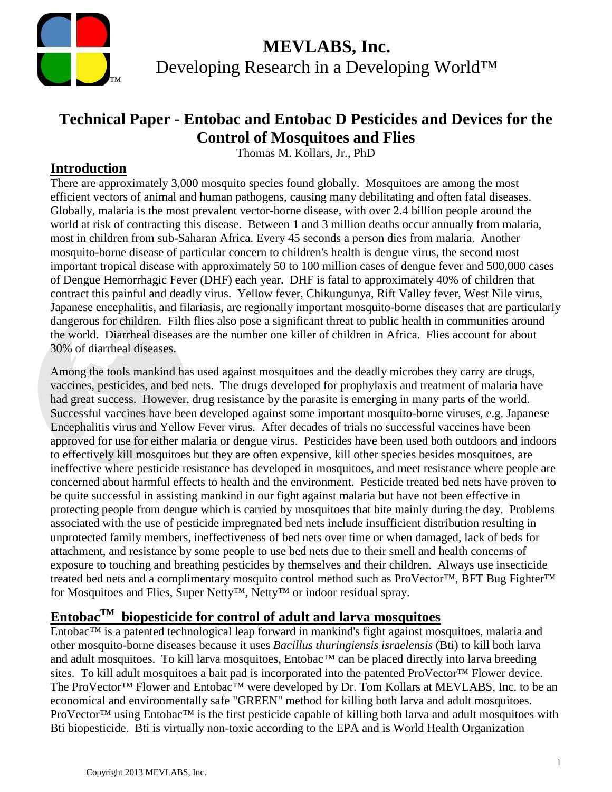

### **Technical Paper - Entobac and Entobac D Pesticides and Devices for the Control of Mosquitoes and Flies**

Thomas M. Kollars, Jr., PhD

#### **Introduction**

There are approximately 3,000 mosquito species found globally. Mosquitoes are among the most efficient vectors of animal and human pathogens, causing many debilitating and often fatal diseases. Globally, malaria is the most prevalent vector-borne disease, with over 2.4 billion people around the world at risk of contracting this disease. Between 1 and 3 million deaths occur annually from malaria, most in children from sub-Saharan Africa. Every 45 seconds a person dies from malaria. Another mosquito-borne disease of particular concern to children's health is dengue virus, the second most important tropical disease with approximately 50 to 100 million cases of dengue fever and 500,000 cases of Dengue Hemorrhagic Fever (DHF) each year. DHF is fatal to approximately 40% of children that contract this painful and deadly virus. Yellow fever, Chikungunya, Rift Valley fever, West Nile virus, Japanese encephalitis, and filariasis, are regionally important mosquito-borne diseases that are particularly dangerous for children. Filth flies also pose a significant threat to public health in communities around the world. Diarrheal diseases are the number one killer of children in Africa. Flies account for about 30% of diarrheal diseases.

Among the tools mankind has used against mosquitoes and the deadly microbes they carry are drugs, vaccines, pesticides, and bed nets. The drugs developed for prophylaxis and treatment of malaria have had great success. However, drug resistance by the parasite is emerging in many parts of the world. Successful vaccines have been developed against some important mosquito-borne viruses, e.g. Japanese Encephalitis virus and Yellow Fever virus. After decades of trials no successful vaccines have been approved for use for either malaria or dengue virus. Pesticides have been used both outdoors and indoors to effectively kill mosquitoes but they are often expensive, kill other species besides mosquitoes, are ineffective where pesticide resistance has developed in mosquitoes, and meet resistance where people are concerned about harmful effects to health and the environment. Pesticide treated bed nets have proven to be quite successful in assisting mankind in our fight against malaria but have not been effective in protecting people from dengue which is carried by mosquitoes that bite mainly during the day. Problems associated with the use of pesticide impregnated bed nets include insufficient distribution resulting in unprotected family members, ineffectiveness of bed nets over time or when damaged, lack of beds for attachment, and resistance by some people to use bed nets due to their smell and health concerns of exposure to touching and breathing pesticides by themselves and their children. Always use insecticide treated bed nets and a complimentary mosquito control method such as ProVector™, BFT Bug Fighter™ for Mosquitoes and Flies, Super Netty™, Netty™ or indoor residual spray.

### **EntobacTM biopesticide for control of adult and larva mosquitoes**

Entobac™ is a patented technological leap forward in mankind's fight against mosquitoes, malaria and other mosquito-borne diseases because it uses *Bacillus thuringiensis israelensis* (Bti) to kill both larva and adult mosquitoes. To kill larva mosquitoes, Entobac™ can be placed directly into larva breeding sites. To kill adult mosquitoes a bait pad is incorporated into the patented ProVector™ Flower device. The ProVector<sup>™</sup> Flower and Entobac<sup>™</sup> were developed by Dr. Tom Kollars at MEVLABS, Inc. to be an economical and environmentally safe "GREEN" method for killing both larva and adult mosquitoes. ProVector™ using Entobac™ is the first pesticide capable of killing both larva and adult mosquitoes with Bti biopesticide. Bti is virtually non-toxic according to the EPA and is World Health Organization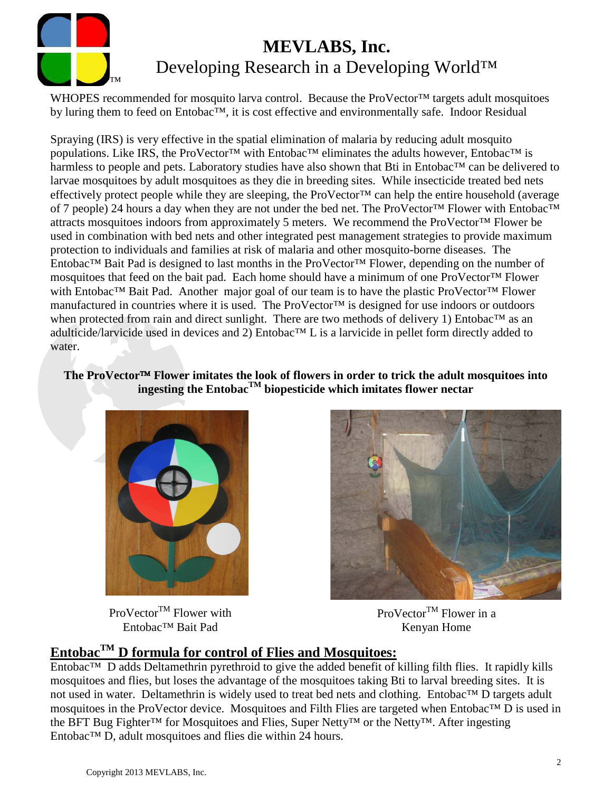

WHOPES recommended for mosquito larva control. Because the ProVector<sup>™</sup> targets adult mosquitoes by luring them to feed on Entobac™, it is cost effective and environmentally safe. Indoor Residual

Spraying (IRS) is very effective in the spatial elimination of malaria by reducing adult mosquito populations. Like IRS, the ProVector<sup>™</sup> with Entobac<sup>™</sup> eliminates the adults however, Entobac<sup>™</sup> is harmless to people and pets. Laboratory studies have also shown that Bti in Entobac™ can be delivered to larvae mosquitoes by adult mosquitoes as they die in breeding sites. While insecticide treated bed nets effectively protect people while they are sleeping, the ProVector<sup>™</sup> can help the entire household (average of 7 people) 24 hours a day when they are not under the bed net. The ProVector™ Flower with Entobac™ attracts mosquitoes indoors from approximately 5 meters. We recommend the ProVector™ Flower be used in combination with bed nets and other integrated pest management strategies to provide maximum protection to individuals and families at risk of malaria and other mosquito-borne diseases. The Entobac™ Bait Pad is designed to last months in the ProVector™ Flower, depending on the number of mosquitoes that feed on the bait pad. Each home should have a minimum of one ProVector™ Flower with Entobac™ Bait Pad. Another major goal of our team is to have the plastic ProVector™ Flower manufactured in countries where it is used. The ProVector™ is designed for use indoors or outdoors when protected from rain and direct sunlight. There are two methods of delivery 1) Entobac™ as an adulticide/larvicide used in devices and 2) Entobac™ L is a larvicide in pellet form directly added to water.

**The ProVector Flower imitates the look of flowers in order to trick the adult mosquitoes into ingesting the EntobacTM biopesticide which imitates flower nectar**



 $ProVector^{TM}$  Flower with Entobac™ Bait Pad



ProVector<sup>TM</sup> Flower in a Kenyan Home

#### **EntobacTM D formula for control of Flies and Mosquitoes:**

Entobac™ D adds Deltamethrin pyrethroid to give the added benefit of killing filth flies. It rapidly kills mosquitoes and flies, but loses the advantage of the mosquitoes taking Bti to larval breeding sites. It is not used in water. Deltamethrin is widely used to treat bed nets and clothing. Entobac™ D targets adult mosquitoes in the ProVector device. Mosquitoes and Filth Flies are targeted when Entobac™ D is used in the BFT Bug Fighter™ for Mosquitoes and Flies, Super Netty™ or the Netty™. After ingesting Entobac™ D, adult mosquitoes and flies die within 24 hours.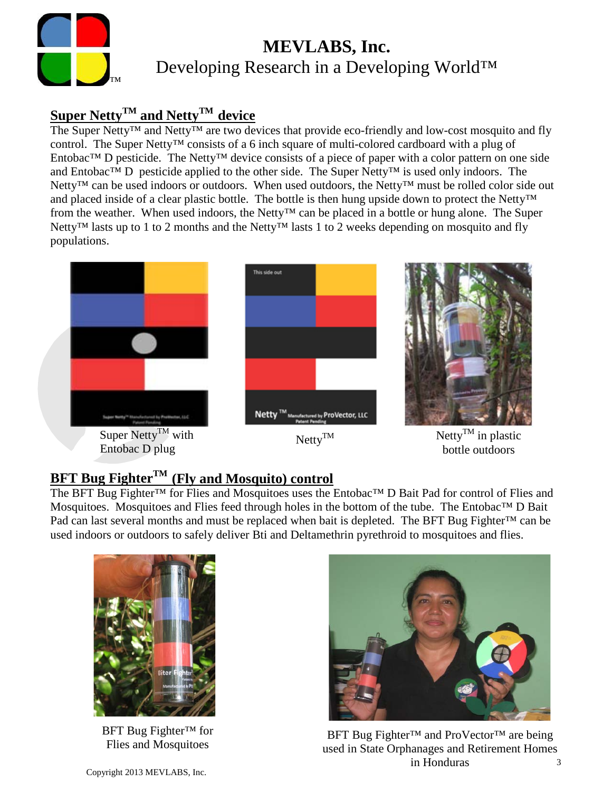

#### **Super NettyTM and NettyTM device**

The Super Netty<sup>™</sup> and Netty<sup>™</sup> are two devices that provide eco-friendly and low-cost mosquito and fly control. The Super Netty™ consists of a 6 inch square of multi-colored cardboard with a plug of Entobac™ D pesticide. The Netty™ device consists of a piece of paper with a color pattern on one side and Entobac™ D pesticide applied to the other side. The Super Netty™ is used only indoors. The Netty<sup>™</sup> can be used indoors or outdoors. When used outdoors, the Netty<sup>™</sup> must be rolled color side out and placed inside of a clear plastic bottle. The bottle is then hung upside down to protect the Netty™ from the weather. When used indoors, the Netty™ can be placed in a bottle or hung alone. The Super Netty<sup>™</sup> lasts up to 1 to 2 months and the Netty<sup>™</sup> lasts 1 to 2 weeks depending on mosquito and fly populations.







bottle outdoors

### **BFT Bug FighterTM (Fly and Mosquito) control**

The BFT Bug Fighter™ for Flies and Mosquitoes uses the Entobac™ D Bait Pad for control of Flies and Mosquitoes. Mosquitoes and Flies feed through holes in the bottom of the tube. The Entobac™ D Bait Pad can last several months and must be replaced when bait is depleted. The BFT Bug Fighter™ can be used indoors or outdoors to safely deliver Bti and Deltamethrin pyrethroid to mosquitoes and flies.



BFT Bug Fighter<sup>™</sup> for<br>Flies and Mosquitoes



BFT Bug Fighter™ and ProVector™ are being used in State Orphanages and Retirement Homes in Honduras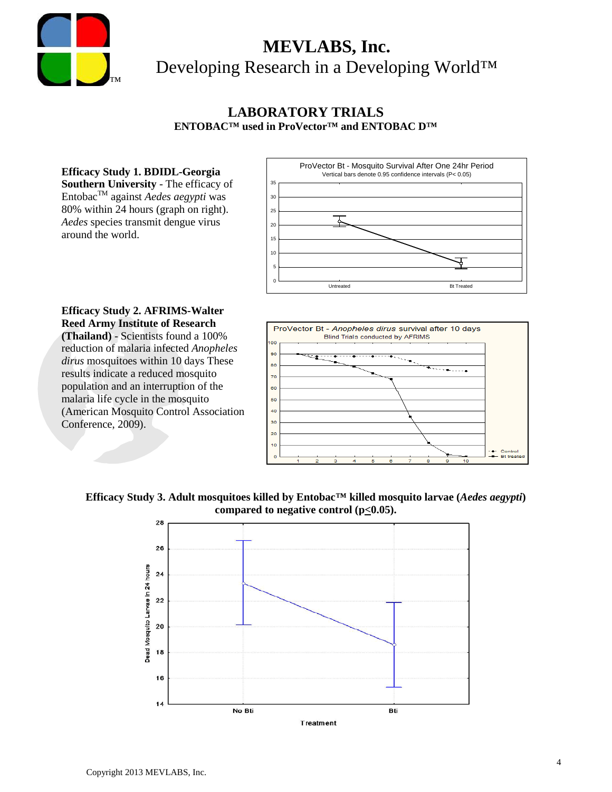

#### **LABORATORY TRIALS ENTOBAC™ used in ProVector™ and ENTOBAC D™**

**Efficacy Study 1. BDIDL-Georgia Southern University** - The efficacy of EntobacTM against *Aedes aegypti* was 80% within 24 hours (graph on right). *Aedes* species transmit dengue virus around the world.



#### **Efficacy Study 2. AFRIMS-Walter Reed Army Institute of Research**

**(Thailand)** - Scientists found a 100% reduction of malaria infected *Anopheles dirus* mosquitoes within 10 days These results indicate a reduced mosquito population and an interruption of the malaria life cycle in the mosquito (American Mosquito Control Association Conference, 2009).



#### **Efficacy Study 3. Adult mosquitoes killed by Entobac™ killed mosquito larvae (***Aedes aegypti***) compared to negative control (p<0.05).**

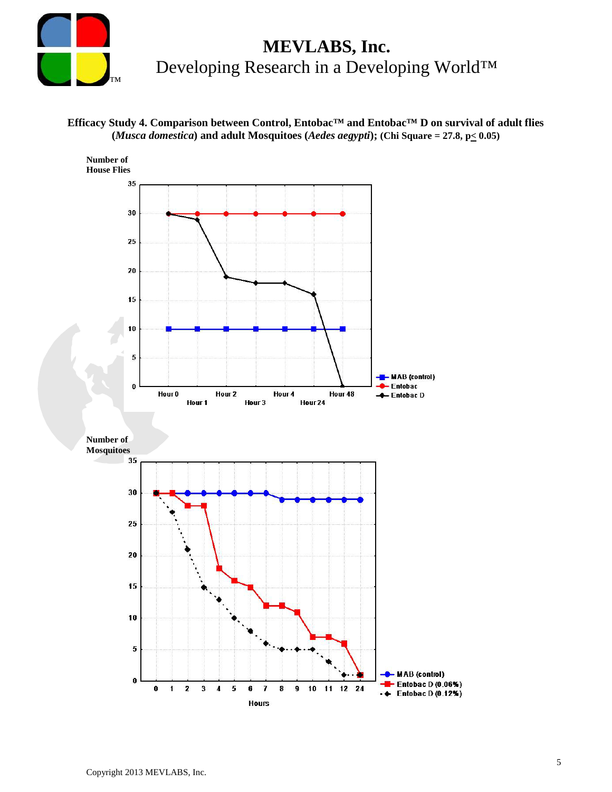

#### **Efficacy Study 4. Comparison between Control, Entobac™ and Entobac™ D on survival of adult flies (***Musca domestica***) and adult Mosquitoes (***Aedes aegypti***); (Chi Square = 27.8, p< 0.05)**

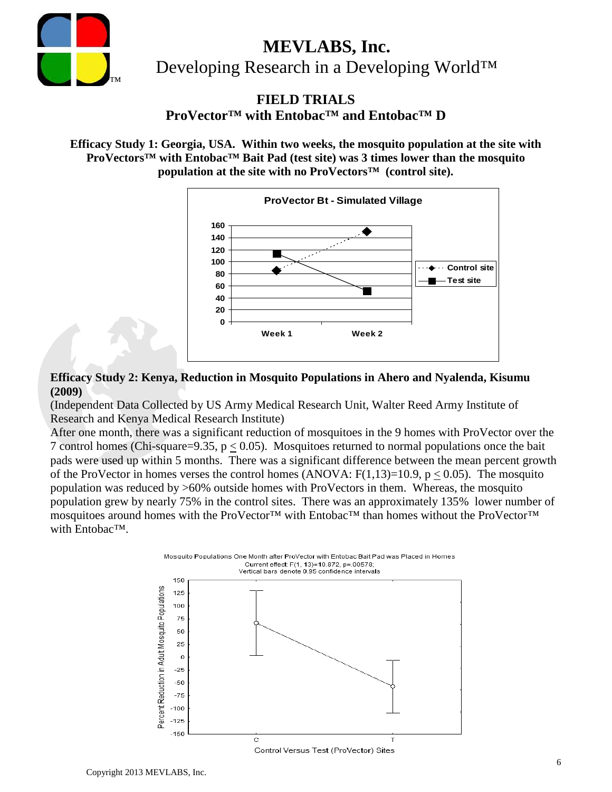

**FIELD TRIALS**

**ProVector™ with Entobac™ and Entobac™ D**

**Efficacy Study 1: Georgia, USA. Within two weeks, the mosquito population at the site with ProVectors™ with Entobac™ Bait Pad (test site) was 3 times lower than the mosquito population at the site with no ProVectors™ (control site).**



**Efficacy Study 2: Kenya, Reduction in Mosquito Populations in Ahero and Nyalenda, Kisumu (2009)**

(Independent Data Collected by US Army Medical Research Unit, Walter Reed Army Institute of Research and Kenya Medical Research Institute)

After one month, there was a significant reduction of mosquitoes in the 9 homes with ProVector over the 7 control homes (Chi-square=9.35, p < 0.05). Mosquitoes returned to normal populations once the bait pads were used up within 5 months. There was a significant difference between the mean percent growth of the ProVector in homes verses the control homes (ANOVA:  $F(1,13)=10.9$ ,  $p < 0.05$ ). The mosquito population was reduced by >60% outside homes with ProVectors in them. Whereas, the mosquito population grew by nearly 75% in the control sites. There was an approximately 135% lower number of mosquitoes around homes with the ProVector™ with Entobac™ than homes without the ProVector™ with Entobac™.

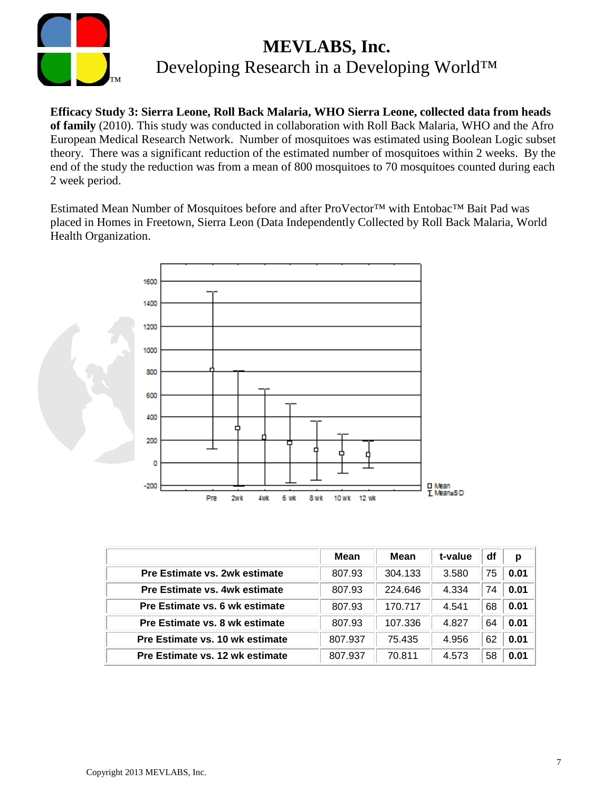

**Efficacy Study 3: Sierra Leone, Roll Back Malaria, WHO Sierra Leone, collected data from heads of family** (2010). This study was conducted in collaboration with Roll Back Malaria, WHO and the Afro European Medical Research Network. Number of mosquitoes was estimated using Boolean Logic subset theory. There was a significant reduction of the estimated number of mosquitoes within 2 weeks. By the end of the study the reduction was from a mean of 800 mosquitoes to 70 mosquitoes counted during each 2 week period.

Estimated Mean Number of Mosquitoes before and after ProVector™ with Entobac™ Bait Pad was placed in Homes in Freetown, Sierra Leon (Data Independently Collected by Roll Back Malaria, World Health Organization.



|                                 | Mean    | Mean    | t-value | df | p    |
|---------------------------------|---------|---------|---------|----|------|
| Pre Estimate vs. 2wk estimate   | 807.93  | 304.133 | 3.580   | 75 | 0.01 |
| Pre Estimate vs. 4wk estimate   | 807.93  | 224.646 | 4.334   | 74 | 0.01 |
| Pre Estimate vs. 6 wk estimate  | 807.93  | 170.717 | 4.541   | 68 | 0.01 |
| Pre Estimate vs. 8 wk estimate  | 807.93  | 107.336 | 4.827   | 64 | 0.01 |
| Pre Estimate vs. 10 wk estimate | 807.937 | 75.435  | 4.956   | 62 | 0.01 |
| Pre Estimate vs. 12 wk estimate | 807.937 | 70.811  | 4.573   | 58 | 0.01 |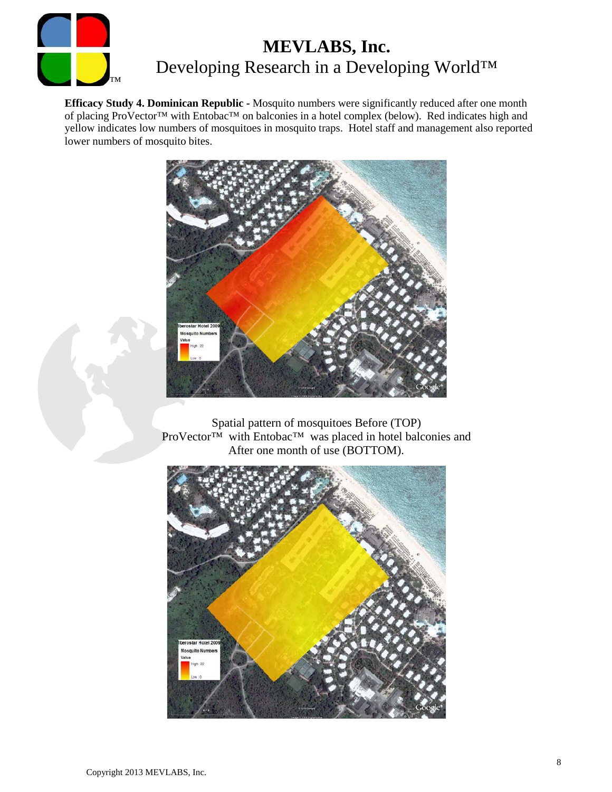

**Efficacy Study 4. Dominican Republic -** Mosquito numbers were significantly reduced after one month of placing ProVector™ with Entobac™ on balconies in a hotel complex (below). Red indicates high and yellow indicates low numbers of mosquitoes in mosquito traps. Hotel staff and management also reported lower numbers of mosquito bites.



Spatial pattern of mosquitoes Before (TOP) ProVector™ with Entobac™ was placed in hotel balconies and After one month of use (BOTTOM).

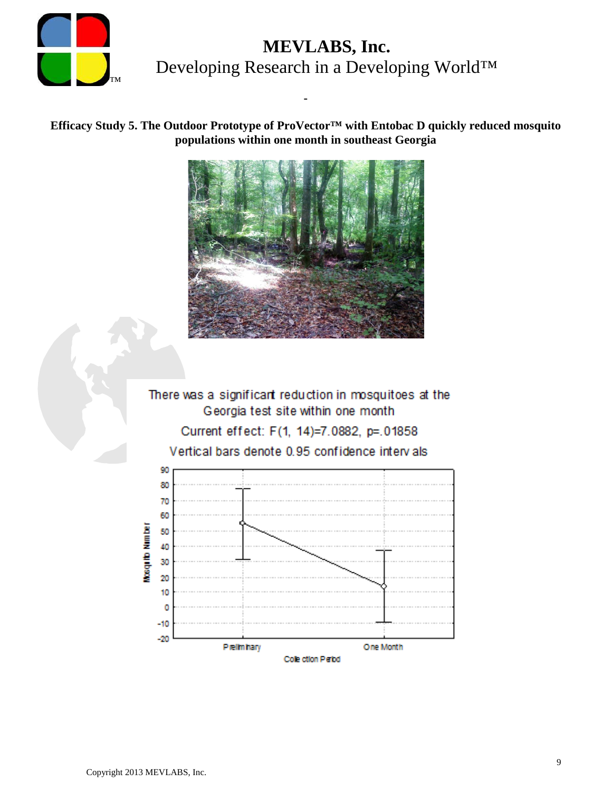

**Efficacy Study 5. The Outdoor Prototype of ProVector™ with Entobac D quickly reduced mosquito populations within one month in southeast Georgia**

**-**



There was a significant reduction in mosquitoes at the Georgia test site within one month Current effect: F(1, 14)=7.0882, p=.01858 Vertical bars denote 0.95 confidence intervals

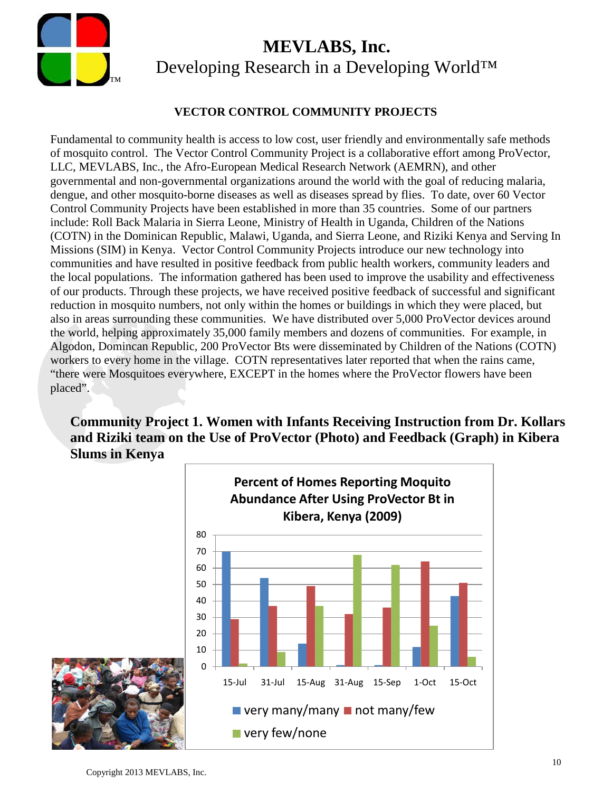

#### **VECTOR CONTROL COMMUNITY PROJECTS**

Fundamental to community health is access to low cost, user friendly and environmentally safe methods of mosquito control. The Vector Control Community Project is a collaborative effort among ProVector, LLC, MEVLABS, Inc., the Afro-European Medical Research Network (AEMRN), and other governmental and non-governmental organizations around the world with the goal of reducing malaria, dengue, and other mosquito-borne diseases as well as diseases spread by flies. To date, over 60 Vector Control Community Projects have been established in more than 35 countries. Some of our partners include: Roll Back Malaria in Sierra Leone, Ministry of Health in Uganda, Children of the Nations (COTN) in the Dominican Republic, Malawi, Uganda, and Sierra Leone, and Riziki Kenya and Serving In Missions (SIM) in Kenya. Vector Control Community Projects introduce our new technology into communities and have resulted in positive feedback from public health workers, community leaders and the local populations. The information gathered has been used to improve the usability and effectiveness of our products. Through these projects, we have received positive feedback of successful and significant reduction in mosquito numbers, not only within the homes or buildings in which they were placed, but also in areas surrounding these communities. We have distributed over 5,000 ProVector devices around the world, helping approximately 35,000 family members and dozens of communities. For example, in Algodon, Domincan Republic, 200 ProVector Bts were disseminated by Children of the Nations (COTN) workers to every home in the village. COTN representatives later reported that when the rains came, "there were Mosquitoes everywhere, EXCEPT in the homes where the ProVector flowers have been placed".

#### **Community Project 1. Women with Infants Receiving Instruction from Dr. Kollars and Riziki team on the Use of ProVector (Photo) and Feedback (Graph) in Kibera Slums in Kenya**

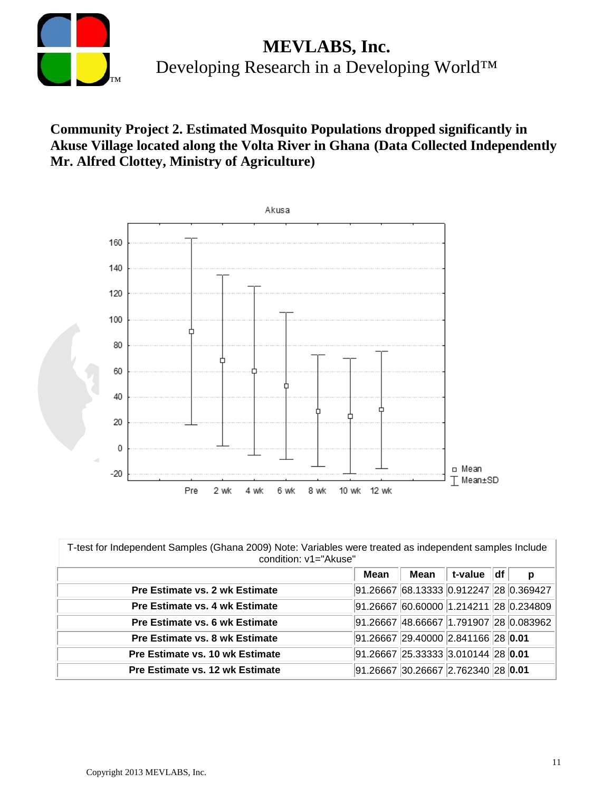

#### **Community Project 2. Estimated Mosquito Populations dropped significantly in Akuse Village located along the Volta River in Ghana (Data Collected Independently Mr. Alfred Clottey, Ministry of Agriculture)**



| T-test for Independent Samples (Ghana 2009) Note: Variables were treated as independent samples Include<br>condition: v1="Akuse" |      |                                                   |            |  |   |  |  |
|----------------------------------------------------------------------------------------------------------------------------------|------|---------------------------------------------------|------------|--|---|--|--|
|                                                                                                                                  | Mean | Mean                                              | t-value df |  | р |  |  |
| <b>Pre Estimate vs. 2 wk Estimate</b>                                                                                            |      | 91.26667 68.13333 0.912247 28 0.369427            |            |  |   |  |  |
| Pre Estimate vs. 4 wk Estimate                                                                                                   |      | 91.26667 60.60000 1.214211 28 0.234809            |            |  |   |  |  |
| Pre Estimate vs. 6 wk Estimate                                                                                                   |      | 91.26667 48.66667 1.791907 28 0.083962            |            |  |   |  |  |
| Pre Estimate vs. 8 wk Estimate                                                                                                   |      | 91.26667 29.40000 2.841166 28 0.01                |            |  |   |  |  |
| Pre Estimate vs. 10 wk Estimate                                                                                                  |      | $91.26667$ $25.33333$ $3.010144$ $28$ <b>0.01</b> |            |  |   |  |  |
| Pre Estimate vs. 12 wk Estimate                                                                                                  |      | $91.26667$ 30.26667 2.762340 28 0.01              |            |  |   |  |  |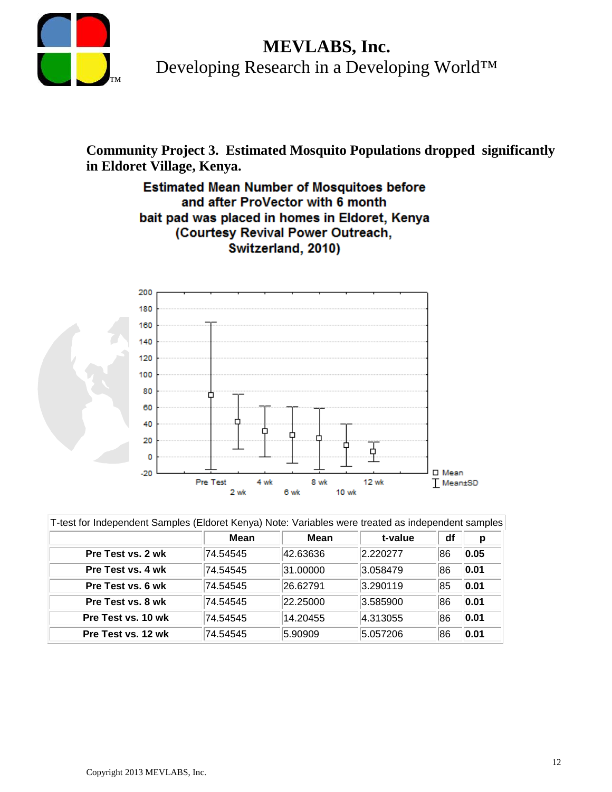

**Community Project 3. Estimated Mosquito Populations dropped significantly in Eldoret Village, Kenya.**

#### **Estimated Mean Number of Mosquitoes before** and after ProVector with 6 month bait pad was placed in homes in Eldoret, Kenya (Courtesy Revival Power Outreach, Switzerland, 2010)



| T-test for Independent Samples (Eldoret Kenya) Note: Variables were treated as independent samples |          |          |          |    |      |  |
|----------------------------------------------------------------------------------------------------|----------|----------|----------|----|------|--|
|                                                                                                    | Mean     | Mean     | t-value  | df | р    |  |
| Pre Test vs. 2 wk                                                                                  | 74.54545 | 42.63636 | 2.220277 | 86 | 0.05 |  |
| Pre Test vs. 4 wk                                                                                  | 74.54545 | 31.00000 | 3.058479 | 86 | 0.01 |  |
| Pre Test vs. 6 wk                                                                                  | 74.54545 | 26.62791 | 3.290119 | 85 | 0.01 |  |
| Pre Test vs. 8 wk                                                                                  | 74.54545 | 22.25000 | 3.585900 | 86 | 0.01 |  |
| Pre Test vs. 10 wk                                                                                 | 74.54545 | 14.20455 | 4.313055 | 86 | 0.01 |  |
| Pre Test vs. 12 wk                                                                                 | 74.54545 | 5.90909  | 5.057206 | 86 | 0.01 |  |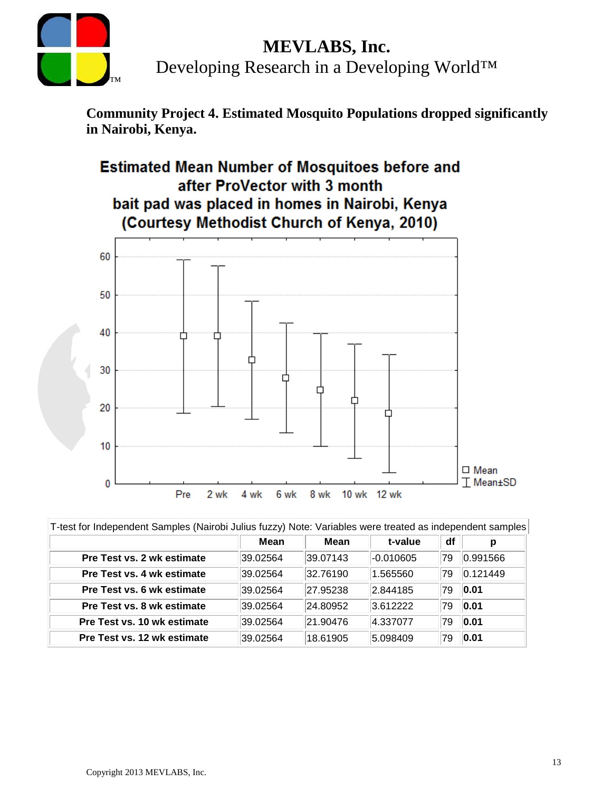

# **MEVLABS, Inc.**

Developing Research in a Developing World™

**Community Project 4. Estimated Mosquito Populations dropped significantly in Nairobi, Kenya.**



| T-test for Independent Samples (Nairobi Julius fuzzy) Note: Variables were treated as independent samples |          |          |             |    |          |  |  |
|-----------------------------------------------------------------------------------------------------------|----------|----------|-------------|----|----------|--|--|
|                                                                                                           | Mean     | Mean     | t-value     | df | p        |  |  |
| <b>Pre Test vs. 2 wk estimate</b>                                                                         | 39.02564 | 39.07143 | $-0.010605$ | 79 | 0.991566 |  |  |
| <b>Pre Test vs. 4 wk estimate</b>                                                                         | 39.02564 | 32.76190 | 1.565560    | 79 | 0.121449 |  |  |
| Pre Test vs. 6 wk estimate                                                                                | 39.02564 | 27.95238 | 2.844185    | 79 | 0.01     |  |  |
| Pre Test vs. 8 wk estimate                                                                                | 39.02564 | 24.80952 | 3.612222    | 79 | 0.01     |  |  |
| Pre Test vs. 10 wk estimate                                                                               | 39.02564 | 21.90476 | 4.337077    | 79 | 0.01     |  |  |
| Pre Test vs. 12 wk estimate                                                                               | 39.02564 | 18.61905 | 5.098409    | 79 | 0.01     |  |  |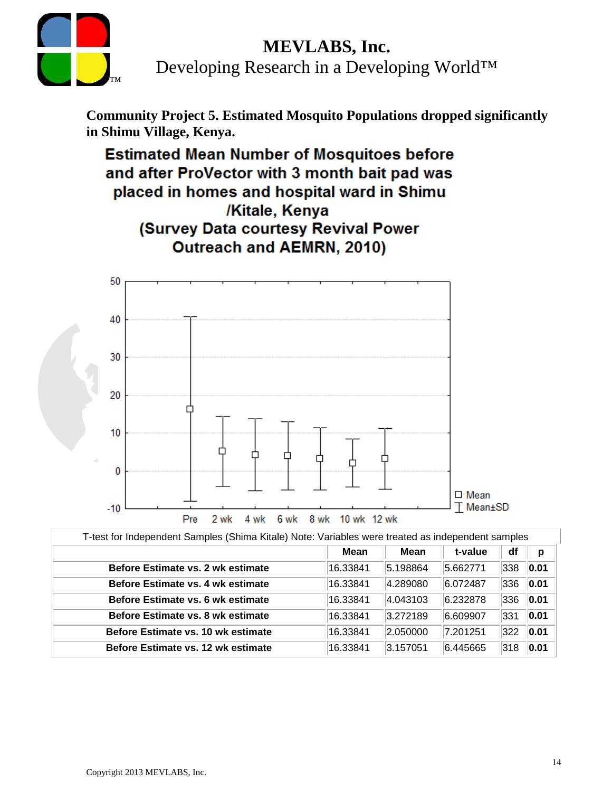### **MEVLABS, Inc.**



Developing Research in a Developing World™

**Community Project 5. Estimated Mosquito Populations dropped significantly in Shimu Village, Kenya.**

**Estimated Mean Number of Mosquitoes before** and after ProVector with 3 month bait pad was placed in homes and hospital ward in Shimu /Kitale, Kenya (Survey Data courtesy Revival Power **Outreach and AEMRN, 2010)** 



| T-test for Independent Samples (Shima Kitale) Note: Variables were treated as independent samples |  |  |
|---------------------------------------------------------------------------------------------------|--|--|
|                                                                                                   |  |  |

|                                    | Mean     | Mean     | t-value  | df            | p    |
|------------------------------------|----------|----------|----------|---------------|------|
| Before Estimate vs. 2 wk estimate  | 16.33841 | 5.198864 | 5.662771 | 338           | 0.01 |
| Before Estimate vs. 4 wk estimate  | 16.33841 | 4.289080 | 6.072487 | 336           | 0.01 |
| Before Estimate vs. 6 wk estimate  | 16.33841 | 4.043103 | 6.232878 | 336           | 0.01 |
| Before Estimate vs. 8 wk estimate  | 16.33841 | 3.272189 | 6.609907 | 331           | 0.01 |
| Before Estimate vs. 10 wk estimate | 16.33841 | 2.050000 | 7.201251 | $ 322\rangle$ | 0.01 |
| Before Estimate vs. 12 wk estimate | 16.33841 | 3.157051 | 6.445665 | 318           | 0.01 |